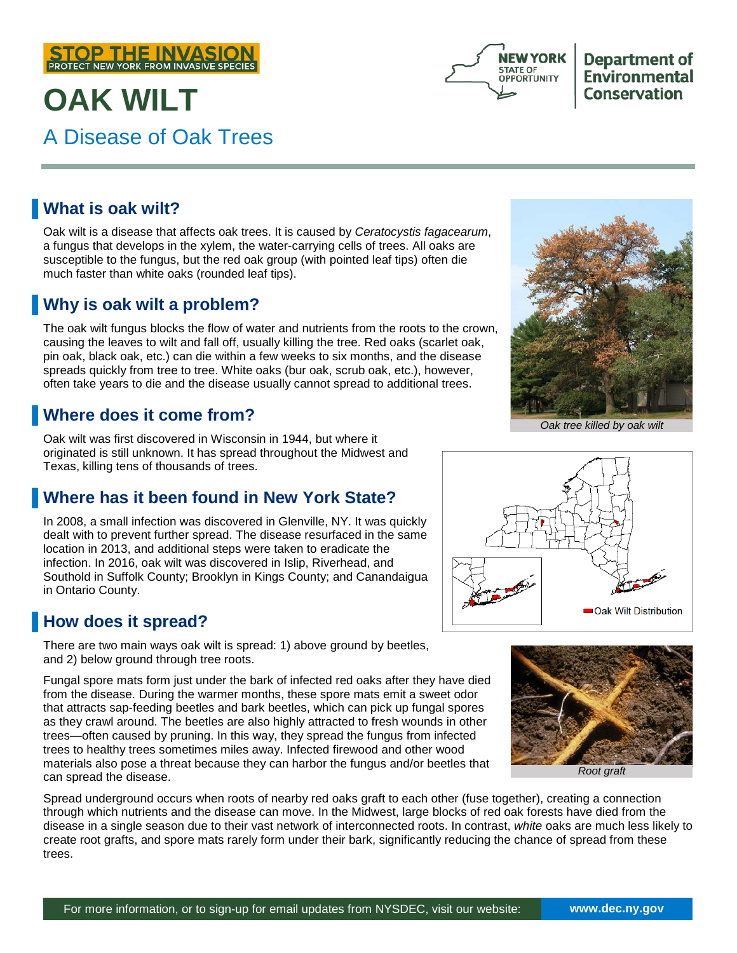

# **OAK WILT** A Disease of Oak Trees



**Department of Environmental Conservation** 

#### ▐ **What is oak wilt?**

Oak wilt is a disease that affects oak trees. It is caused by *Ceratocystis fagacearum*, a fungus that develops in the xylem, the water-carrying cells of trees. All oaks are susceptible to the fungus, but the red oak group (with pointed leaf tips) often die much faster than white oaks (rounded leaf tips).

#### ▐ **Why is oak wilt a problem?**

The oak wilt fungus blocks the flow of water and nutrients from the roots to the crown, causing the leaves to wilt and fall off, usually killing the tree. Red oaks (scarlet oak, pin oak, black oak, etc.) can die within a few weeks to six months, and the disease spreads quickly from tree to tree. White oaks (bur oak, scrub oak, etc.), however, often take years to die and the disease usually cannot spread to additional trees.

#### **Where does it come from?**

Oak wilt was first discovered in Wisconsin in 1944, but where it originated is still unknown. It has spread throughout the Midwest and Texas, killing tens of thousands of trees.

### ▐ **Where has it been found in New York State?**

In 2008, a small infection was discovered in Glenville, NY. It was quickly dealt with to prevent further spread. The disease resurfaced in the same location in 2013, and additional steps were taken to eradicate the infection. In 2016, oak wilt was discovered in Islip, Riverhead, and Southold in Suffolk County; Brooklyn in Kings County; and Canandaigua in Ontario County.

### **How does it spread?**

There are two main ways oak wilt is spread: 1) above ground by beetles, and 2) below ground through tree roots.

Fungal spore mats form just under the bark of infected red oaks after they have died from the disease. During the warmer months, these spore mats emit a sweet odor that attracts sap-feeding beetles and bark beetles, which can pick up fungal spores as they crawl around. The beetles are also highly attracted to fresh wounds in other trees—often caused by pruning. In this way, they spread the fungus from infected trees to healthy trees sometimes miles away. Infected firewood and other wood materials also pose a threat because they can harbor the fungus and/or beetles that can spread the disease.

Spread underground occurs when roots of nearby red oaks graft to each other (fuse together), creating a connection through which nutrients and the disease can move. In the Midwest, large blocks of red oak forests have died from the disease in a single season due to their vast network of interconnected roots. In contrast, *white* oaks are much less likely to create root grafts, and spore mats rarely form under their bark, significantly reducing the chance of spread from these trees.



*Oak tree killed by oak wilt*